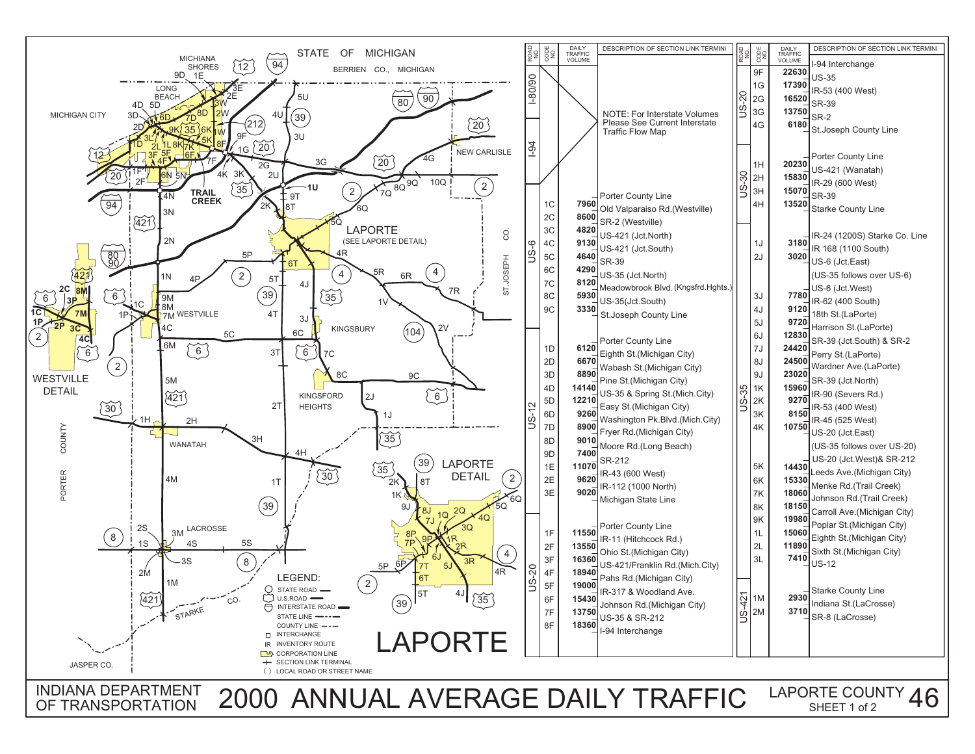